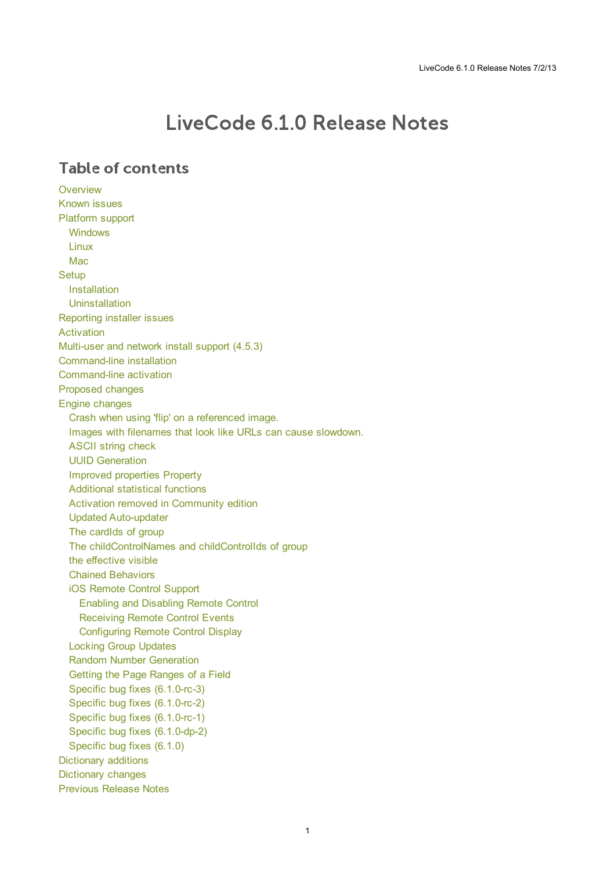# LiveCode 6.1.0 Release Notes

### Table of contents

**[Overview](#page-1-0)** [Known](#page-1-1) issues [Platform](#page-1-2) support [Windows](#page-1-3) [Linux](#page-1-4) [Mac](#page-2-0) **[Setup](#page-3-0)** [Installation](#page-3-1) **[Uninstallation](#page-3-2)** [Reporting](#page-3-3) installer issues [Activation](#page-4-0) [Multi-user](#page-4-1) and network install support (4.5.3) [Command-line](#page-4-2) installation [Command-line](#page-5-0) activation [Proposed](#page-5-1) changes Engine [changes](#page-6-0) Crash when using 'flip' on a [referenced](#page-6-1) image. Images with filenames that look like URLs can cause [slowdown.](#page-6-2) [ASCII](#page-6-3) string check UUID [Generation](#page-6-4) Improved [properties](#page-6-5) Property [Additional](#page-6-6) statistical functions Activation removed in [Community](#page-7-0) edition Updated [Auto-updater](#page-8-0) The [cardIds](#page-8-1) of group The [childControlNames](#page-8-2) and childControlIds of group the [effective](#page-8-3) visible Chained [Behaviors](#page-8-4) iOS [Remote](#page-8-5) Control Support Enabling and [Disabling](#page-9-0) Remote Control [Receiving](#page-9-1) Remote Control Events [Configuring](#page-9-2) Remote Control Display Locking Group [Updates](#page-10-0) Random Number [Generation](#page-10-1) Getting the Page [Ranges](#page-10-2) of a Field Specific bug fixes [\(6.1.0-rc-3\)](#page-11-0) Specific bug fixes [\(6.1.0-rc-2\)](#page-11-1) Specific bug fixes [\(6.1.0-rc-1\)](#page-11-2) Specific bug fixes [\(6.1.0-dp-2\)](#page-11-3) [Specific](#page-11-4) bug fixes (6.1.0) [Dictionary](#page-12-0) additions [Dictionary](#page-12-1) changes [Previous](#page-14-0) Release Notes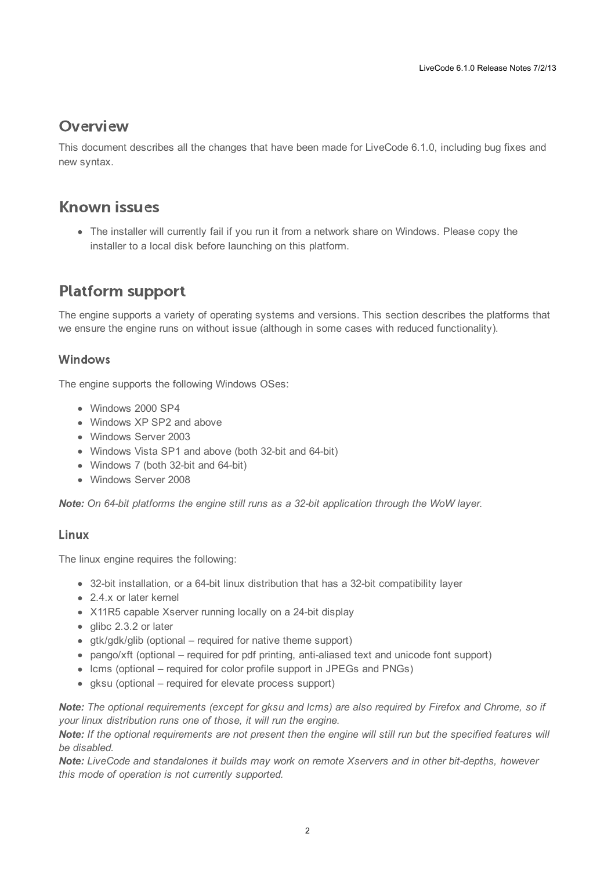### <span id="page-1-0"></span>**Overview**

This document describes all the changes that have been made for LiveCode 6.1.0, including bug fixes and new syntax.

### <span id="page-1-1"></span>**Known issues**

The installer will currently fail if you run it from a network share on Windows. Please copy the installer to a local disk before launching on this platform.

# <span id="page-1-2"></span>**Platform support**

The engine supports a variety of operating systems and versions. This section describes the platforms that we ensure the engine runs on without issue (although in some cases with reduced functionality).

#### <span id="page-1-3"></span>Windows

The engine supports the following Windows OSes:

- Windows 2000 SP4
- Windows XP SP2 and above
- Windows Server 2003
- Windows Vista SP1 and above (both 32-bit and 64-bit)
- Windows 7 (both 32-bit and 64-bit)
- Windows Server 2008

*Note: On 64-bit platforms the engine still runs as a 32-bit application through the WoW layer.*

#### <span id="page-1-4"></span>Linux

The linux engine requires the following:

- 32-bit installation, or a 64-bit linux distribution that has a 32-bit compatibility layer
- 2.4.x or later kernel
- X11R5 capable Xserver running locally on a 24-bit display
- glibc 2.3.2 or later
- gtk/gdk/glib (optional required for native theme support)
- pango/xft (optional required for pdf printing, anti-aliased text and unicode font support)
- lcms (optional required for color profile support in JPEGs and PNGs)
- gksu (optional required for elevate process support)

Note: The optional requirements (except for gksu and Icms) are also required by Firefox and Chrome, so if *your linux distribution runs one of those, it will run the engine.*

Note: If the optional requirements are not present then the engine will still run but the specified features will *be disabled.*

*Note: LiveCode and standalones it builds may work on remote Xservers and in other bit-depths, however this mode of operation is not currently supported.*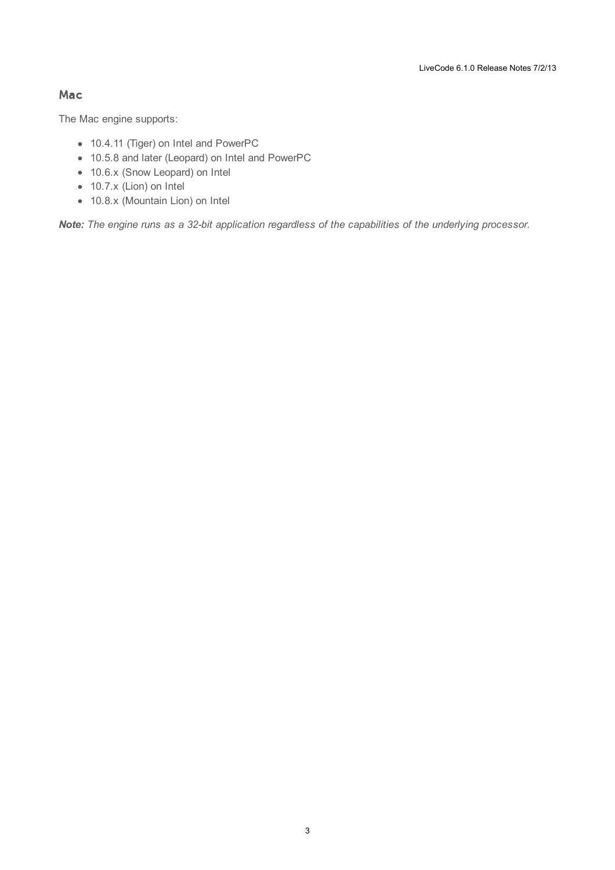#### <span id="page-2-0"></span>Mac

The Mac engine supports:

- 10.4.11 (Tiger) on Intel and PowerPC
- 10.5.8 and later (Leopard) on Intel and PowerPC
- 10.6.x (Snow Leopard) on Intel
- 10.7.x (Lion) on Intel
- 10.8.x (Mountain Lion) on Intel

*Note: The engine runs as a 32-bit application regardless of the capabilities of the underlying processor.*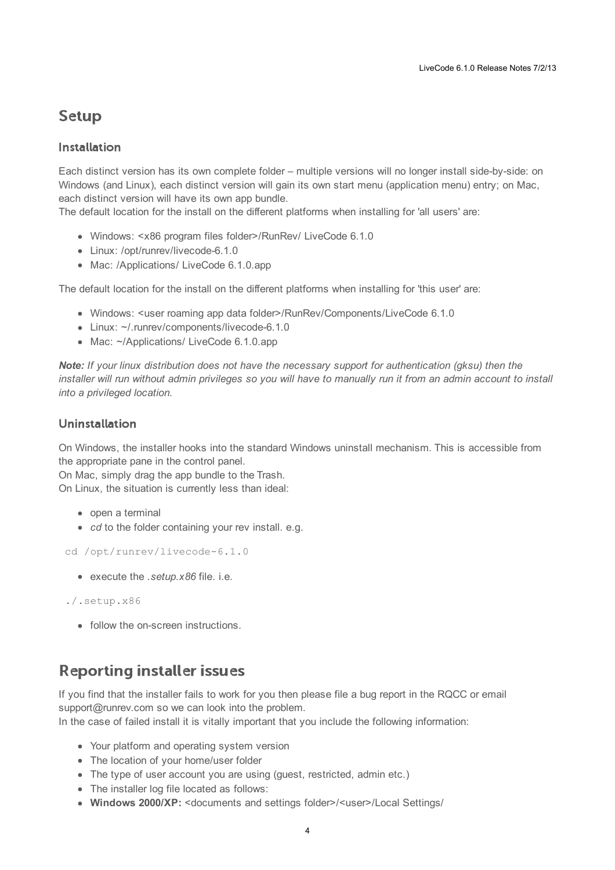### <span id="page-3-0"></span>**Setup**

#### <span id="page-3-1"></span>**Installation**

Each distinct version has its own complete folder – multiple versions will no longer install side-by-side: on Windows (and Linux), each distinct version will gain its own start menu (application menu) entry; on Mac, each distinct version will have its own app bundle.

The default location for the install on the different platforms when installing for 'all users' are:

- Windows: <x86 program files folder>/RunRev/ LiveCode 6.1.0
- Linux: /opt/runrev/livecode-6.1.0
- Mac: /Applications/ LiveCode 6.1.0.app

The default location for the install on the different platforms when installing for 'this user' are:

- Windows: <user roaming app data folder>/RunRev/Components/LiveCode 6.1.0
- Linux: ~/.runrev/components/livecode-6.1.0
- Mac: ~/Applications/ LiveCode 6.1.0.app

*Note: If your linux distribution does not have the necessary support for authentication (gksu) then the* installer will run without admin privileges so you will have to manually run it from an admin account to install *into a privileged location.*

#### <span id="page-3-2"></span>**Uninstallation**

On Windows, the installer hooks into the standard Windows uninstall mechanism. This is accessible from the appropriate pane in the control panel.

On Mac, simply drag the app bundle to the Trash. On Linux, the situation is currently less than ideal:

- open a terminal
- *cd* to the folder containing your rev install, e.g.

cd /opt/runrev/livecode-6.1.0

execute the *.setup.x86* file. i.e.

```
./.setup.x86
```
• follow the on-screen instructions.

### <span id="page-3-3"></span>**Reporting installer issues**

If you find that the installer fails to work for you then please file a bug report in the RQCC or email support@runrev.com so we can look into the problem.

In the case of failed install it is vitally important that you include the following information:

- Your platform and operating system version
- The location of your home/user folder
- The type of user account you are using (quest, restricted, admin etc.)
- The installer log file located as follows:
- **Windows 2000/XP:** <documents and settings folder>/<user>/Local Settings/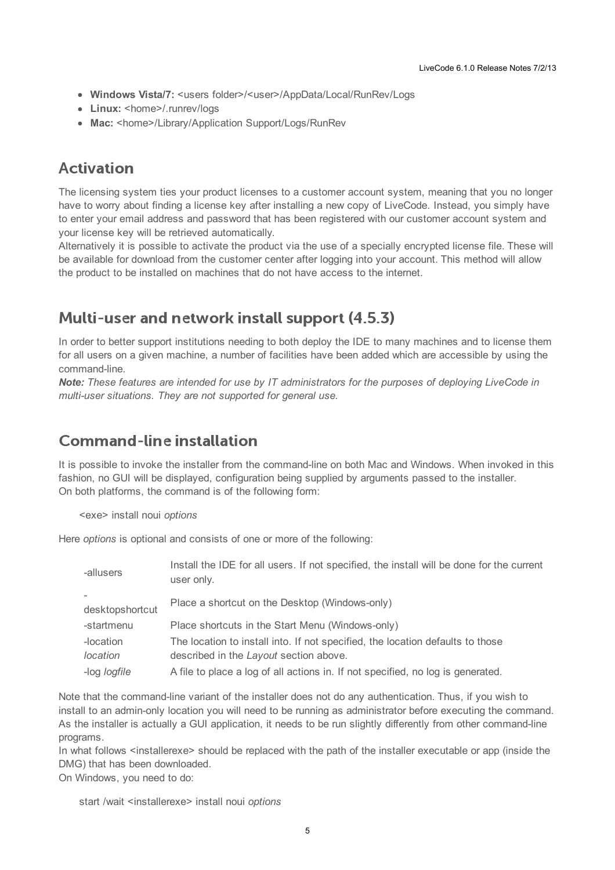- **Windows Vista/7:** <users folder>/<user>/AppData/Local/RunRev/Logs
- Linux: <home>/.runrev/logs
- Mac: <home>/Library/Application Support/Logs/RunRev

### <span id="page-4-0"></span>**Activation**

The licensing system ties your product licenses to a customer account system, meaning that you no longer have to worry about finding a license key after installing a new copy of LiveCode. Instead, you simply have to enter your email address and password that has been registered with our customer account system and your license key will be retrieved automatically.

Alternatively it is possible to activate the product via the use of a specially encrypted license file. These will be available for download from the customer center after logging into your account. This method will allow the product to be installed on machines that do not have access to the internet.

### <span id="page-4-1"></span>Multi-user and network install support (4.5.3)

In order to better support institutions needing to both deploy the IDE to many machines and to license them for all users on a given machine, a number of facilities have been added which are accessible by using the command-line.

*Note: These features are intended for use by IT administrators for the purposes of deploying LiveCode in multi-user situations. They are not supported for general use.*

### <span id="page-4-2"></span>**Command-line installation**

It is possible to invoke the installer from the command-line on both Mac and Windows. When invoked in this fashion, no GUI will be displayed, configuration being supplied by arguments passed to the installer. On both platforms, the command is of the following form:

<exe> install noui *options*

Here *options* is optional and consists of one or more of the following:

| -allusers           | Install the IDE for all users. If not specified, the install will be done for the current<br>user only. |
|---------------------|---------------------------------------------------------------------------------------------------------|
| desktopshortcut     | Place a shortcut on the Desktop (Windows-only)                                                          |
|                     |                                                                                                         |
| -startmenu          | Place shortcuts in the Start Menu (Windows-only)                                                        |
| -location           | The location to install into. If not specified, the location defaults to those                          |
| location            | described in the Layout section above.                                                                  |
| -log <i>logfile</i> | A file to place a log of all actions in. If not specified, no log is generated.                         |

Note that the command-line variant of the installer does not do any authentication. Thus, if you wish to install to an admin-only location you will need to be running as administrator before executing the command. As the installer is actually a GUI application, it needs to be run slightly differently from other command-line programs.

In what follows <installerexe> should be replaced with the path of the installer executable or app (inside the DMG) that has been downloaded.

On Windows, you need to do:

start /wait <installerexe> install noui *options*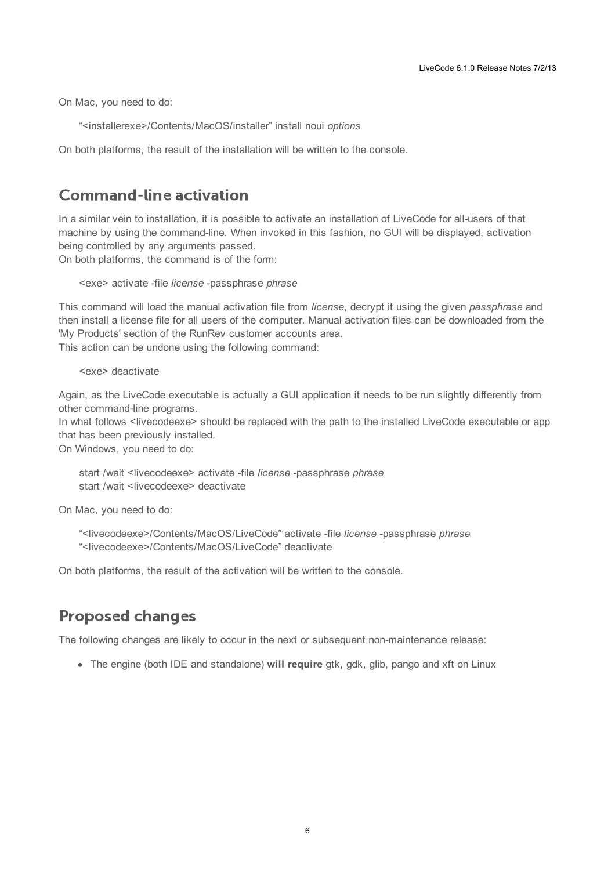On Mac, you need to do:

"<installerexe>/Contents/MacOS/installer" install noui *options*

On both platforms, the result of the installation will be written to the console.

### <span id="page-5-0"></span>**Command-line activation**

In a similar vein to installation, it is possible to activate an installation of LiveCode for all-users of that machine by using the command-line. When invoked in this fashion, no GUI will be displayed, activation being controlled by any arguments passed.

On both platforms, the command is of the form:

<exe> activate -file *license* -passphrase *phrase*

This command will load the manual activation file from *license*, decrypt it using the given *passphrase* and then install a license file for all users of the computer. Manual activation files can be downloaded from the 'My Products' section of the RunRev customer accounts area.

This action can be undone using the following command:

<exe> deactivate

Again, as the LiveCode executable is actually a GUI application it needs to be run slightly differently from other command-line programs.

In what follows <livecodeexe> should be replaced with the path to the installed LiveCode executable or app that has been previously installed.

On Windows, you need to do:

start /wait <livecodeexe> activate -file *license* -passphrase *phrase* start /wait <livecodeexe> deactivate

On Mac, you need to do:

"<livecodeexe>/Contents/MacOS/LiveCode" activate -file *license* -passphrase *phrase* "<livecodeexe>/Contents/MacOS/LiveCode" deactivate

On both platforms, the result of the activation will be written to the console.

### <span id="page-5-1"></span>**Proposed changes**

The following changes are likely to occur in the next or subsequent non-maintenance release:

• The engine (both IDE and standalone) **will require** gtk, gdk, glib, pango and xft on Linux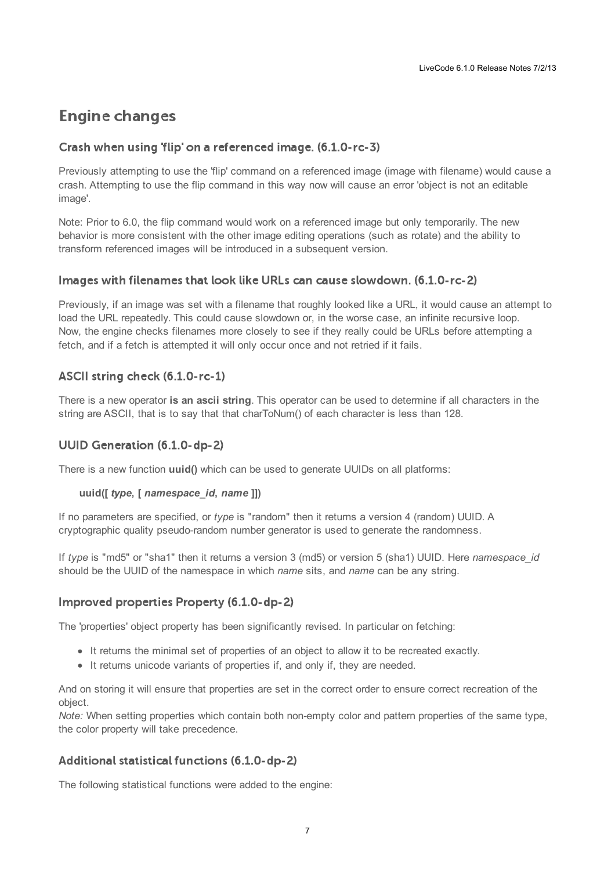# <span id="page-6-0"></span>**Engine changes**

#### <span id="page-6-1"></span>Crash when using 'flip' on a referenced image. (6.1.0-rc-3)

Previously attempting to use the 'flip' command on a referenced image (image with filename) would cause a crash. Attempting to use the flip command in this way now will cause an error 'object is not an editable image'.

Note: Prior to 6.0, the flip command would work on a referenced image but only temporarily. The new behavior is more consistent with the other image editing operations (such as rotate) and the ability to transform referenced images will be introduced in a subsequent version.

#### <span id="page-6-2"></span>Images with filenames that look like URLs can cause slowdown. (6.1.0-rc-2)

Previously, if an image was set with a filename that roughly looked like a URL, it would cause an attempt to load the URL repeatedly. This could cause slowdown or, in the worse case, an infinite recursive loop. Now, the engine checks filenames more closely to see if they really could be URLs before attempting a fetch, and if a fetch is attempted it will only occur once and not retried if it fails.

#### <span id="page-6-3"></span>ASCII string check (6.1.0-rc-1)

There is a new operator **is an ascii string**. This operator can be used to determine if all characters in the string are ASCII, that is to say that that charToNum() of each character is less than 128.

#### <span id="page-6-4"></span>UUID Generation (6.1.0-dp-2)

There is a new function **uuid()** which can be used to generate UUIDs on all platforms:

#### **uuid([** *type***, [** *namespace\_id***,** *name* **]])**

If no parameters are specified, or *type* is "random" then it returns a version 4 (random) UUID. A cryptographic quality pseudo-random number generator is used to generate the randomness.

If *type* is "md5" or "sha1" then it returns a version 3 (md5) or version 5 (sha1) UUID. Here *namespace\_id* should be the UUID of the namespace in which *name* sits, and *name* can be any string.

#### <span id="page-6-5"></span>Improved properties Property (6.1.0-dp-2)

The 'properties' object property has been significantly revised. In particular on fetching:

- It returns the minimal set of properties of an object to allow it to be recreated exactly.
- It returns unicode variants of properties if, and only if, they are needed.

And on storing it will ensure that properties are set in the correct order to ensure correct recreation of the object.

*Note:* When setting properties which contain both non-empty color and pattern properties of the same type, the color property will take precedence.

#### <span id="page-6-6"></span>Additional statistical functions (6.1.0-dp-2)

The following statistical functions were added to the engine: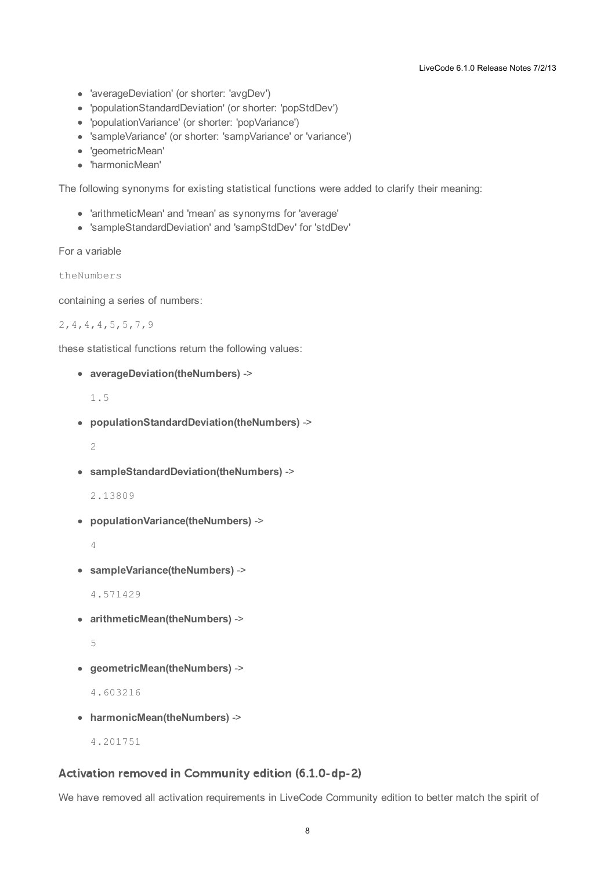- 'averageDeviation' (or shorter: 'avgDev')
- 'populationStandardDeviation' (or shorter: 'popStdDev')
- 'populationVariance' (or shorter: 'popVariance')
- 'sampleVariance' (or shorter: 'sampVariance' or 'variance')
- 'geometricMean'
- 'harmonicMean'

The following synonyms for existing statistical functions were added to clarify their meaning:

- 'arithmeticMean' and 'mean' as synonyms for 'average'
- 'sampleStandardDeviation' and 'sampStdDev' for 'stdDev'

#### For a variable

theNumbers

containing a series of numbers:

2,4,4,4,5,5,7,9

these statistical functions return the following values:

**averageDeviation(theNumbers)** ->

1.5

**populationStandardDeviation(theNumbers)** ->

2

**sampleStandardDeviation(theNumbers)** ->

2.13809

**populationVariance(theNumbers)** ->

4

**sampleVariance(theNumbers)** ->

4.571429

**arithmeticMean(theNumbers)** ->

5

**geometricMean(theNumbers)** ->

4.603216

**harmonicMean(theNumbers)** ->

4.201751

#### <span id="page-7-0"></span>Activation removed in Community edition (6.1.0-dp-2)

We have removed all activation requirements in LiveCode Community edition to better match the spirit of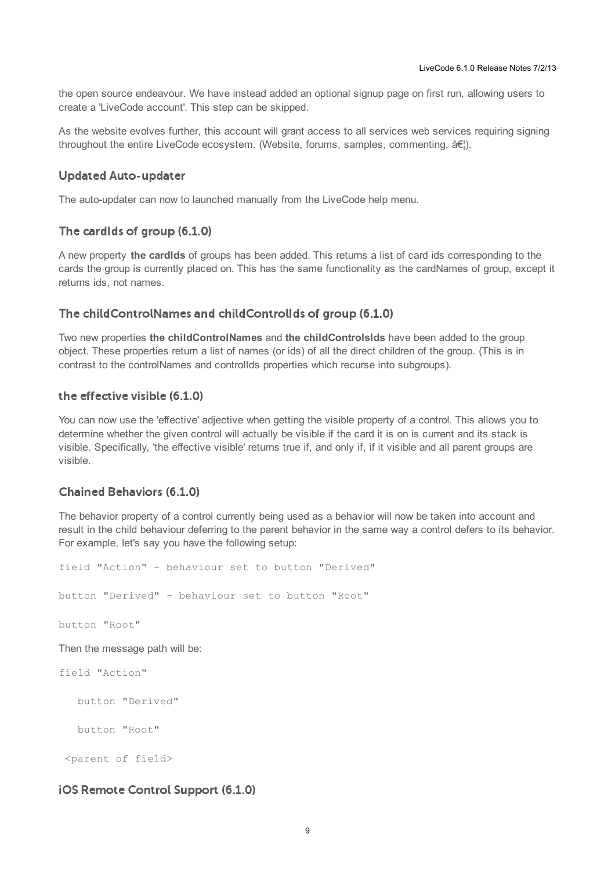the open source endeavour. We have instead added an optional signup page on first run, allowing users to create a 'LiveCode account'. This step can be skipped.

As the website evolves further, this account will grant access to all services web services requiring signing throughout the entire LiveCode ecosystem. (Website, forums, samples, commenting,  $\hat{a}\epsilon$ ).

#### <span id="page-8-0"></span>**Updated Auto-updater**

The auto-updater can now to launched manually from the LiveCode help menu.

#### <span id="page-8-1"></span>The cardids of group (6.1.0)

A new property **the cardIds** of groups has been added. This returns a list of card ids corresponding to the cards the group is currently placed on. This has the same functionality as the cardNames of group, except it returns ids, not names.

#### <span id="page-8-2"></span>The childControlNames and childControllds of group (6.1.0)

Two new properties **the childControlNames** and **the childControlsIds** have been added to the group object. These properties return a list of names (or ids) of all the direct children of the group. (This is in contrast to the controlNames and controlIds properties which recurse into subgroups).

#### <span id="page-8-3"></span>the effective visible (6.1.0)

You can now use the 'effective' adjective when getting the visible property of a control. This allows you to determine whether the given control will actually be visible if the card it is on is current and its stack is visible. Specifically, 'the effective visible' returns true if, and only if, if it visible and all parent groups are visible.

#### <span id="page-8-4"></span>**Chained Behaviors (6.1.0)**

The behavior property of a control currently being used as a behavior will now be taken into account and result in the child behaviour deferring to the parent behavior in the same way a control defers to its behavior. For example, let's say you have the following setup:

field "Action" - behaviour set to button "Derived"

button "Derived" - behaviour set to button "Root"

button "Root"

Then the message path will be:

field "Action"

button "Derived"

button "Root"

<parent of field>

#### <span id="page-8-5"></span>iOS Remote Control Support (6.1.0)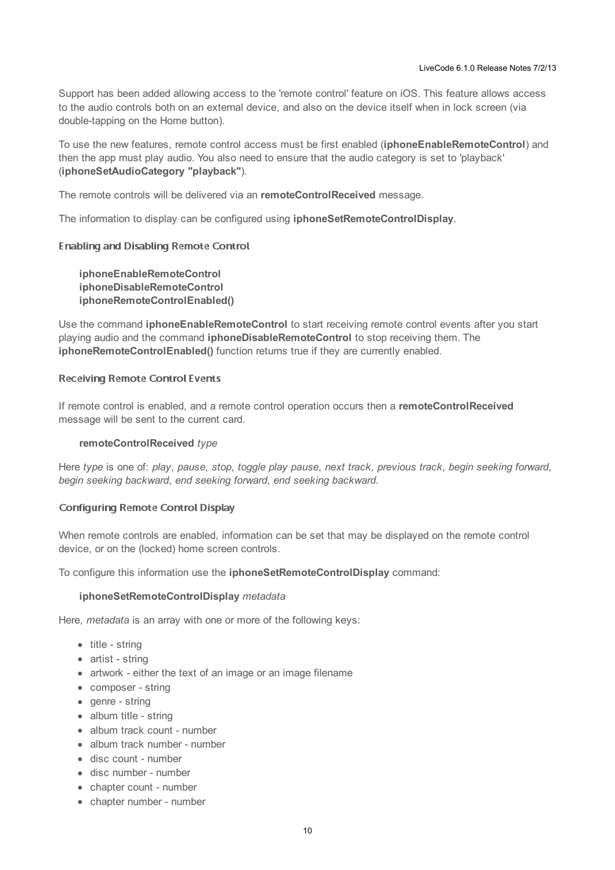Support has been added allowing access to the 'remote control' feature on iOS. This feature allows access to the audio controls both on an external device, and also on the device itself when in lock screen (via double-tapping on the Home button).

To use the new features, remote control access must be first enabled (**iphoneEnableRemoteControl**) and then the app must play audio. You also need to ensure that the audio category is set to 'playback' (**iphoneSetAudioCategory "playback"**).

The remote controls will be delivered via an **remoteControlReceived** message.

The information to display can be configured using **iphoneSetRemoteControlDisplay**.

#### <span id="page-9-0"></span>**Enabling and Disabling Remote Control**

**iphoneEnableRemoteControl iphoneDisableRemoteControl iphoneRemoteControlEnabled()**

Use the command **iphoneEnableRemoteControl** to start receiving remote control events after you start playing audio and the command **iphoneDisableRemoteControl** to stop receiving them. The **iphoneRemoteControlEnabled()** function returns true if they are currently enabled.

#### <span id="page-9-1"></span>**Receiving Remote Control Events**

If remote control is enabled, and a remote control operation occurs then a **remoteControlReceived** message will be sent to the current card.

#### **remoteControlReceived** *type*

Here *type* is one of: *play*, *pause*, *stop*, *toggle play pause*, *next track*, *previous track*, *begin seeking forward*, *begin seeking backward*, *end seeking forward*, *end seeking backward*.

#### <span id="page-9-2"></span>**Configuring Remote Control Display**

When remote controls are enabled, information can be set that may be displayed on the remote control device, or on the (locked) home screen controls.

To configure this information use the **iphoneSetRemoteControlDisplay** command:

#### **iphoneSetRemoteControlDisplay** *metadata*

Here, *metadata* is an array with one or more of the following keys:

- $\bullet$  title string
- artist string
- artwork either the text of an image or an image filename
- composer string
- genre string
- album title string
- album track count number
- album track number number
- disc count number
- disc number number
- chapter count number
- chapter number number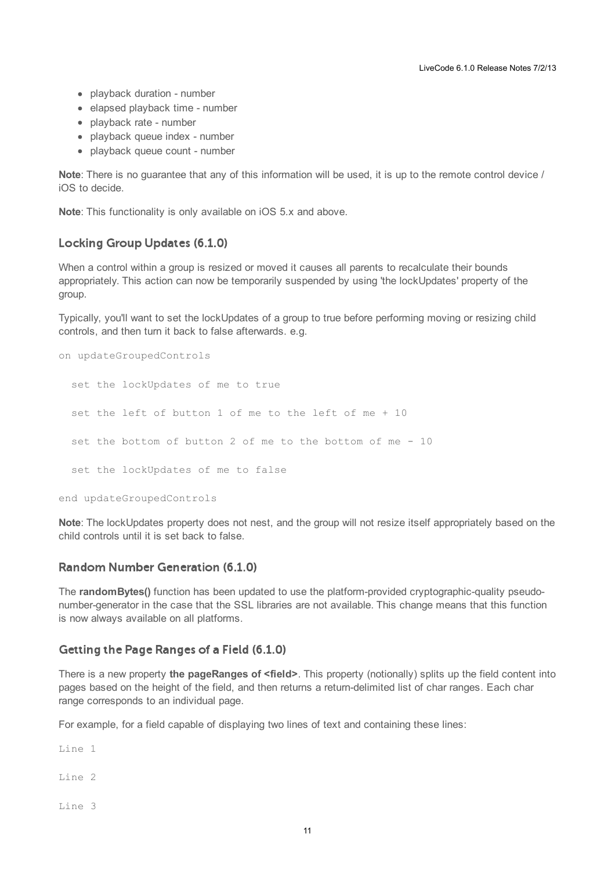- playback duration number
- elapsed playback time number
- playback rate number
- playback queue index number
- playback queue count number

**Note**: There is no guarantee that any of this information will be used, it is up to the remote control device / iOS to decide.

**Note**: This functionality is only available on iOS 5.x and above.

#### <span id="page-10-0"></span>**Locking Group Updates (6.1.0)**

When a control within a group is resized or moved it causes all parents to recalculate their bounds appropriately. This action can now be temporarily suspended by using 'the lockUpdates' property of the group.

Typically, you'll want to set the lockUpdates of a group to true before performing moving or resizing child controls, and then turn it back to false afterwards. e.g.

```
on updateGroupedControls
 set the lockUpdates of me to true
  set the left of button 1 of me to the left of me + 10
  set the bottom of button 2 of me to the bottom of me - 10
  set the lockUpdates of me to false
end updateGroupedControls
```
**Note**: The lockUpdates property does not nest, and the group will not resize itself appropriately based on the child controls until it is set back to false.

#### <span id="page-10-1"></span>**Random Number Generation (6.1.0)**

The **randomBytes()** function has been updated to use the platform-provided cryptographic-quality pseudonumber-generator in the case that the SSL libraries are not available. This change means that this function is now always available on all platforms.

#### <span id="page-10-2"></span>**Getting the Page Ranges of a Field (6.1.0)**

There is a new property **the pageRanges of <field>**. This property (notionally) splits up the field content into pages based on the height of the field, and then returns a return-delimited list of char ranges. Each char range corresponds to an individual page.

For example, for a field capable of displaying two lines of text and containing these lines:

Line 1

Line 2

Line 3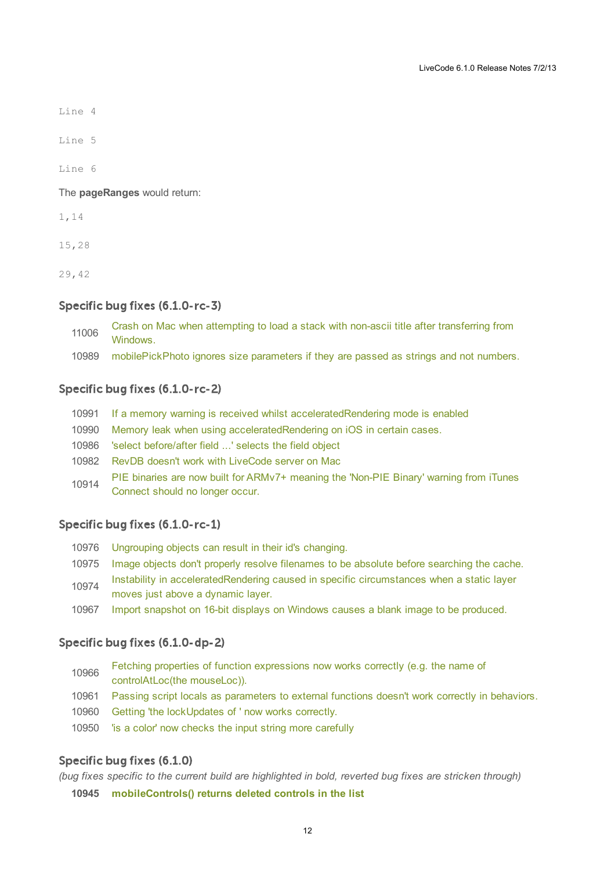Line 4

Line 5

Line 6

The **pageRanges** would return:

1,14

15,28

29,42

#### <span id="page-11-0"></span>Specific bug fixes (6.1.0-rc-3)

11006 Crash on Mac when attempting to load a stack with non-ascii title after [transferring](http://quality.runrev.com/show_bug.cgi?id=11006) from Windows.

10989 [mobilePickPhoto](http://quality.runrev.com/show_bug.cgi?id=10989) ignores size parameters if they are passed as strings and not numbers.

#### <span id="page-11-1"></span>Specific bug fixes (6.1.0-rc-2)

- 10991 If a memory warning is received whilst [acceleratedRendering](http://quality.runrev.com/show_bug.cgi?id=10991) mode is enabled
- 10990 Memory leak when using [acceleratedRendering](http://quality.runrev.com/show_bug.cgi?id=10990) on iOS in certain cases.
- 10986 'select [before/after](http://quality.runrev.com/show_bug.cgi?id=10986) field ...' selects the field object
- 10982 RevDB doesn't work with [LiveCode](http://quality.runrev.com/show_bug.cgi?id=10982) server on Mac
- 10914 PIE binaries are now built for [ARMv7+](http://quality.runrev.com/show_bug.cgi?id=10914) meaning the 'Non-PIE Binary' warning from iTunes Connect should no longer occur.

#### <span id="page-11-2"></span>Specific bug fixes (6.1.0-rc-1)

- 10976 [Ungrouping](http://quality.runrev.com/show_bug.cgi?id=10976) objects can result in their id's changing.
- 10975 Image objects don't properly resolve filenames to be absolute before [searching](http://quality.runrev.com/show_bug.cgi?id=10975) the cache.
- 10974 Instability in [acceleratedRendering](http://quality.runrev.com/show_bug.cgi?id=10974) caused in specific circumstances when a static layer moves just above a dynamic layer.
- 10967 Import snapshot on 16-bit displays on Windows causes a blank image to be [produced.](http://quality.runrev.com/show_bug.cgi?id=10967)

#### <span id="page-11-3"></span>Specific bug fixes (6.1.0-dp-2)

- 10966 Fetching properties of function expressions now works correctly (e.g. the name of [controlAtLoc\(the](http://quality.runrev.com/show_bug.cgi?id=10966) mouseLoc)).
- 10961 Passing script locals as [parameters](http://quality.runrev.com/show_bug.cgi?id=10961) to external functions doesn't work correctly in behaviors.
- 10960 Getting 'the [lockUpdates](http://quality.runrev.com/show_bug.cgi?id=10960) of ' now works correctly.
- 10950 'is a color' now checks the input string more [carefully](http://quality.runrev.com/show_bug.cgi?id=10950)

#### <span id="page-11-4"></span>Specific bug fixes (6.1.0)

(bug fixes specific to the current build are highlighted in bold, reverted bug fixes are stricken through)

**10945 [mobileControls\(\)](http://quality.runrev.com/show_bug.cgi?id=10945) returns deleted controls in the list**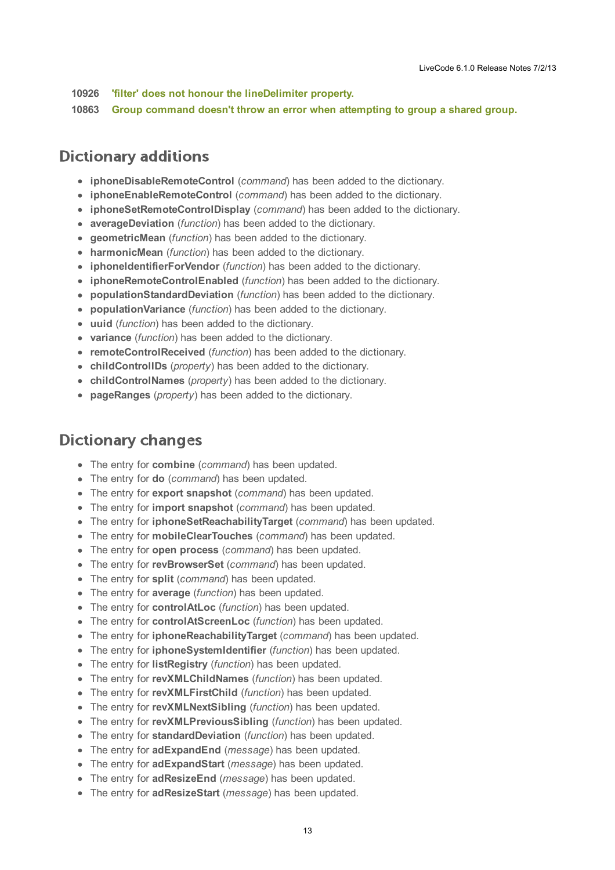**10926 'filter' does not honour the [lineDelimiter](http://quality.runrev.com/show_bug.cgi?id=10926) property. 10863 Group command doesn't throw an error when [attempting](http://quality.runrev.com/show_bug.cgi?id=10863) to group a shared group.**

### <span id="page-12-0"></span>**Dictionary additions**

- **iphoneDisableRemoteControl** (*command*) has been added to the dictionary.
- **iphoneEnableRemoteControl** (*command*) has been added to the dictionary.
- **iphoneSetRemoteControlDisplay** (*command*) has been added to the dictionary.
- **averageDeviation** (*function*) has been added to the dictionary.
- **geometricMean** (*function*) has been added to the dictionary.
- **harmonicMean** (*function*) has been added to the dictionary.
- **iphoneIdentifierForVendor** (*function*) has been added to the dictionary.
- **iphoneRemoteControlEnabled** (*function*) has been added to the dictionary.
- **populationStandardDeviation** (*function*) has been added to the dictionary.
- **populationVariance** (*function*) has been added to the dictionary.
- **uuid** (*function*) has been added to the dictionary.
- **variance** (*function*) has been added to the dictionary.
- **remoteControlReceived** (*function*) has been added to the dictionary.
- **childControlIDs** (*property*) has been added to the dictionary.
- **childControlNames** (*property*) has been added to the dictionary.
- **pageRanges** (*property*) has been added to the dictionary.

### <span id="page-12-1"></span>**Dictionary changes**

- The entry for **combine** (*command*) has been updated.
- The entry for **do** (*command*) has been updated.
- The entry for **export snapshot** (*command*) has been updated.
- The entry for **import snapshot** (*command*) has been updated.
- The entry for **iphoneSetReachabilityTarget** (*command*) has been updated.
- The entry for **mobileClearTouches** (*command*) has been updated.
- The entry for **open process** (*command*) has been updated.
- The entry for **revBrowserSet** (*command*) has been updated.
- The entry for **split** (*command*) has been updated.
- The entry for **average** (*function*) has been updated.
- The entry for **controlAtLoc** (*function*) has been updated.
- The entry for **controlAtScreenLoc** (*function*) has been updated.
- The entry for **iphoneReachabilityTarget** (*command*) has been updated.
- The entry for **iphoneSystemIdentifier** (*function*) has been updated.
- The entry for **listRegistry** (*function*) has been updated.
- The entry for **revXMLChildNames** (*function*) has been updated.
- The entry for **revXMLFirstChild** (*function*) has been updated.
- The entry for **revXMLNextSibling** (*function*) has been updated.
- The entry for **revXMLPreviousSibling** (*function*) has been updated.
- The entry for **standardDeviation** (*function*) has been updated.
- The entry for **adExpandEnd** (*message*) has been updated.
- The entry for **adExpandStart** (*message*) has been updated.
- The entry for **adResizeEnd** (*message*) has been updated.
- The entry for **adResizeStart** (*message*) has been updated.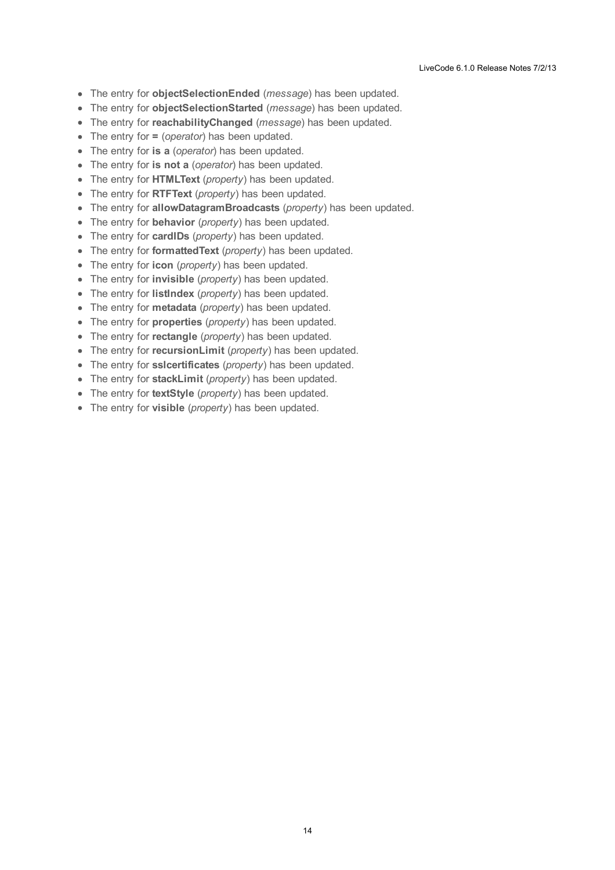- The entry for **objectSelectionEnded** (*message*) has been updated.
- The entry for **objectSelectionStarted** (*message*) has been updated.
- The entry for **reachabilityChanged** (*message*) has been updated.
- The entry for **=** (*operator*) has been updated.
- The entry for **is a** (*operator*) has been updated.
- The entry for **is not a** (*operator*) has been updated.
- The entry for **HTMLText** (*property*) has been updated.
- The entry for **RTFText** (*property*) has been updated.
- The entry for **allowDatagramBroadcasts** (*property*) has been updated.
- The entry for **behavior** (*property*) has been updated.
- The entry for **cardIDs** (*property*) has been updated.
- The entry for **formattedText** (*property*) has been updated.
- The entry for **icon** (*property*) has been updated.
- The entry for **invisible** (*property*) has been updated.
- The entry for **listIndex** (*property*) has been updated.
- The entry for **metadata** (*property*) has been updated.
- The entry for **properties** (*property*) has been updated.
- The entry for **rectangle** (*property*) has been updated.
- The entry for **recursionLimit** (*property*) has been updated.
- The entry for **sslcertificates** (*property*) has been updated.
- The entry for **stackLimit** (*property*) has been updated.
- The entry for **textStyle** (*property*) has been updated.
- The entry for **visible** (*property*) has been updated.